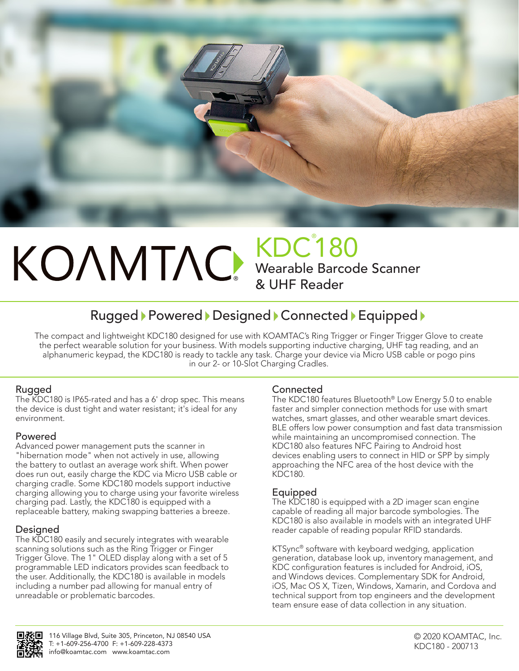

# ® KDC® 180 Wearable Barcode Scanner & UHF Reader

# Rugged Powered Designed Connected Equipped

The compact and lightweight KDC180 designed for use with KOAMTAC's Ring Trigger or Finger Trigger Glove to create the perfect wearable solution for your business. With models supporting inductive charging, UHF tag reading, and an alphanumeric keypad, the KDC180 is ready to tackle any task. Charge your device via Micro USB cable or pogo pins in our 2- or 10-Slot Charging Cradles.

# Rugged

The KDC180 is IP65-rated and has a 6' drop spec. This means the device is dust tight and water resistant; it's ideal for any environment.

# Powered

Advanced power management puts the scanner in "hibernation mode" when not actively in use, allowing the battery to outlast an average work shift. When power does run out, easily charge the KDC via Micro USB cable or charging cradle. Some KDC180 models support inductive charging allowing you to charge using your favorite wireless charging pad. Lastly, the KDC180 is equipped with a replaceable battery, making swapping batteries a breeze.

# Designed

The KDC180 easily and securely integrates with wearable scanning solutions such as the Ring Trigger or Finger Trigger Glove. The 1" OLED display along with a set of 5 programmable LED indicators provides scan feedback to the user. Additionally, the KDC180 is available in models including a number pad allowing for manual entry of unreadable or problematic barcodes.

# **Connected**

The KDC180 features Bluetooth® Low Energy 5.0 to enable faster and simpler connection methods for use with smart watches, smart glasses, and other wearable smart devices. BLE offers low power consumption and fast data transmission while maintaining an uncompromised connection. The KDC180 also features NFC Pairing to Android host devices enabling users to connect in HID or SPP by simply approaching the NFC area of the host device with the KDC180.

# Equipped

The KDC180 is equipped with a 2D imager scan engine capable of reading all major barcode symbologies. The KDC180 is also available in models with an integrated UHF reader capable of reading popular RFID standards.

KTSync® software with keyboard wedging, application generation, database look up, inventory management, and KDC configuration features is included for Android, iOS, and Windows devices. Complementary SDK for Android, iOS, Mac OS X, Tizen, Windows, Xamarin, and Cordova and technical support from top engineers and the development team ensure ease of data collection in any situation.